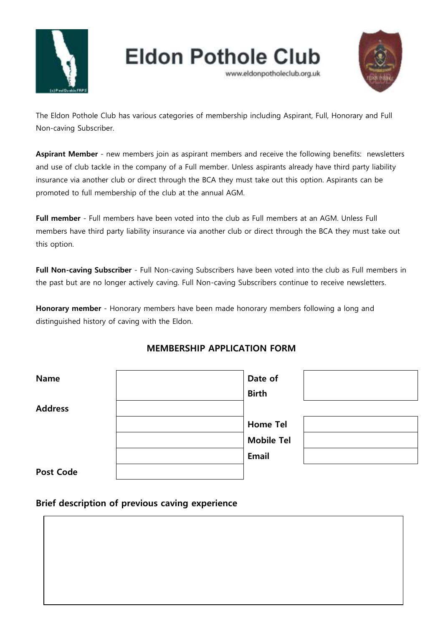

## **Eldon Pothole Club**



www.eldonpotholeclub.org.uk

The Eldon Pothole Club has various categories of membership including Aspirant, Full, Honorary and Full Non-caving Subscriber.

**Aspirant Member** - new members join as aspirant members and receive the following benefits: newsletters and use of club tackle in the company of a Full member. Unless aspirants already have third party liability insurance via another club or direct through the BCA they must take out this option. Aspirants can be promoted to full membership of the club at the annual AGM.

**Full member** - Full members have been voted into the club as Full members at an AGM. Unless Full members have third party liability insurance via another club or direct through the BCA they must take out this option.

**Full Non-caving Subscriber** - Full Non-caving Subscribers have been voted into the club as Full members in the past but are no longer actively caving. Full Non-caving Subscribers continue to receive newsletters.

**Honorary member** - Honorary members have been made honorary members following a long and distinguished history of caving with the Eldon.

## **MEMBERSHIP APPLICATION FORM**

| <b>Name</b>      | Date of           |  |
|------------------|-------------------|--|
|                  | <b>Birth</b>      |  |
| <b>Address</b>   |                   |  |
|                  | <b>Home Tel</b>   |  |
|                  | <b>Mobile Tel</b> |  |
|                  | <b>Email</b>      |  |
| <b>Post Code</b> |                   |  |

## **Brief description of previous caving experience**